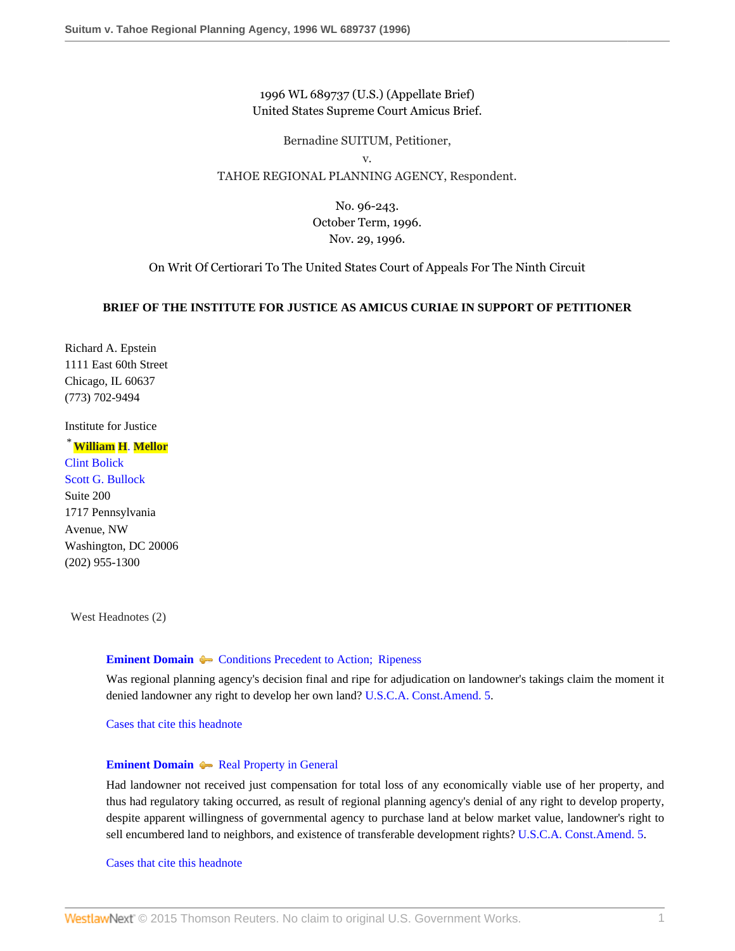### 1996 WL 689737 (U.S.) (Appellate Brief) United States Supreme Court Amicus Brief.

Bernadine SUITUM, Petitioner,

v.

### TAHOE REGIONAL PLANNING AGENCY, Respondent.

No. 96-243. October Term, 1996. Nov. 29, 1996.

On Writ Of Certiorari To The United States Court of Appeals For The Ninth Circuit

### **BRIEF OF THE INSTITUTE FOR JUSTICE AS AMICUS CURIAE IN SUPPORT OF PETITIONER**

Richard A. Epstein 1111 East 60th Street Chicago, IL 60637 (773) 702-9494

Institute for Justice

# \***[William](http://www.westlaw.com/Link/Document/FullText?findType=h&pubNum=176284&cite=0366739901&originatingDoc=Iac8fe4d647be11d98915dbcd77ee80bc&refType=RQ&originationContext=document&vr=3.0&rs=cblt1.0&transitionType=DocumentItem&contextData=(sc.Search)) H**. **Mellor**

[Clint Bolick](http://www.westlaw.com/Link/Document/FullText?findType=h&pubNum=176284&cite=0335844701&originatingDoc=Iac8fe4d647be11d98915dbcd77ee80bc&refType=RQ&originationContext=document&vr=3.0&rs=cblt1.0&transitionType=DocumentItem&contextData=(sc.Search)) [Scott G. Bullock](http://www.westlaw.com/Link/Document/FullText?findType=h&pubNum=176284&cite=0257245001&originatingDoc=Iac8fe4d647be11d98915dbcd77ee80bc&refType=RQ&originationContext=document&vr=3.0&rs=cblt1.0&transitionType=DocumentItem&contextData=(sc.Search)) Suite 200 1717 Pennsylvania Avenue, NW Washington, DC 20006 (202) 955-1300

West Headnotes (2)

#### **[Eminent Domain](http://www.westlaw.com/Browse/Home/KeyNumber/148/View.html?docGuid=Iac8fe4d647be11d98915dbcd77ee80bc&originationContext=document&vr=3.0&rs=cblt1.0&transitionType=DocumentItem&contextData=(sc.Search))**  $\blacklozenge$  [Conditions Precedent to Action; Ripeness](http://www.westlaw.com/Browse/Home/KeyNumber/148k277/View.html?docGuid=Iac8fe4d647be11d98915dbcd77ee80bc&originationContext=document&vr=3.0&rs=cblt1.0&transitionType=DocumentItem&contextData=(sc.Search))

Was regional planning agency's decision final and ripe for adjudication on landowner's takings claim the moment it denied landowner any right to develop her own land? [U.S.C.A. Const.Amend. 5.](http://www.westlaw.com/Link/Document/FullText?findType=L&pubNum=1000546&cite=USCOAMENDV&originatingDoc=Iac8fe4d647be11d98915dbcd77ee80bc&refType=LQ&originationContext=document&vr=3.0&rs=cblt1.0&transitionType=DocumentItem&contextData=(sc.Search))

[Cases that cite this headnote](http://www.westlaw.com/Link/RelatedInformation/DocHeadnoteLink?docGuid=Iac8fe4d647be11d98915dbcd77ee80bc&headnoteId=199626651800120091016020344&originationContext=document&vr=3.0&rs=cblt1.0&transitionType=CitingReferences&contextData=(sc.Search))

### **[Eminent Domain](http://www.westlaw.com/Browse/Home/KeyNumber/148/View.html?docGuid=Iac8fe4d647be11d98915dbcd77ee80bc&originationContext=document&vr=3.0&rs=cblt1.0&transitionType=DocumentItem&contextData=(sc.Search))**  $\blacklozenge$  [Real Property in General](http://www.westlaw.com/Browse/Home/KeyNumber/148k82/View.html?docGuid=Iac8fe4d647be11d98915dbcd77ee80bc&originationContext=document&vr=3.0&rs=cblt1.0&transitionType=DocumentItem&contextData=(sc.Search))

Had landowner not received just compensation for total loss of any economically viable use of her property, and thus had regulatory taking occurred, as result of regional planning agency's denial of any right to develop property, despite apparent willingness of governmental agency to purchase land at below market value, landowner's right to sell encumbered land to neighbors, and existence of transferable development rights? [U.S.C.A. Const.Amend. 5](http://www.westlaw.com/Link/Document/FullText?findType=L&pubNum=1000546&cite=USCOAMENDV&originatingDoc=Iac8fe4d647be11d98915dbcd77ee80bc&refType=LQ&originationContext=document&vr=3.0&rs=cblt1.0&transitionType=DocumentItem&contextData=(sc.Search)).

[Cases that cite this headnote](http://www.westlaw.com/Link/RelatedInformation/DocHeadnoteLink?docGuid=Iac8fe4d647be11d98915dbcd77ee80bc&headnoteId=199626651800220091016020344&originationContext=document&vr=3.0&rs=cblt1.0&transitionType=CitingReferences&contextData=(sc.Search))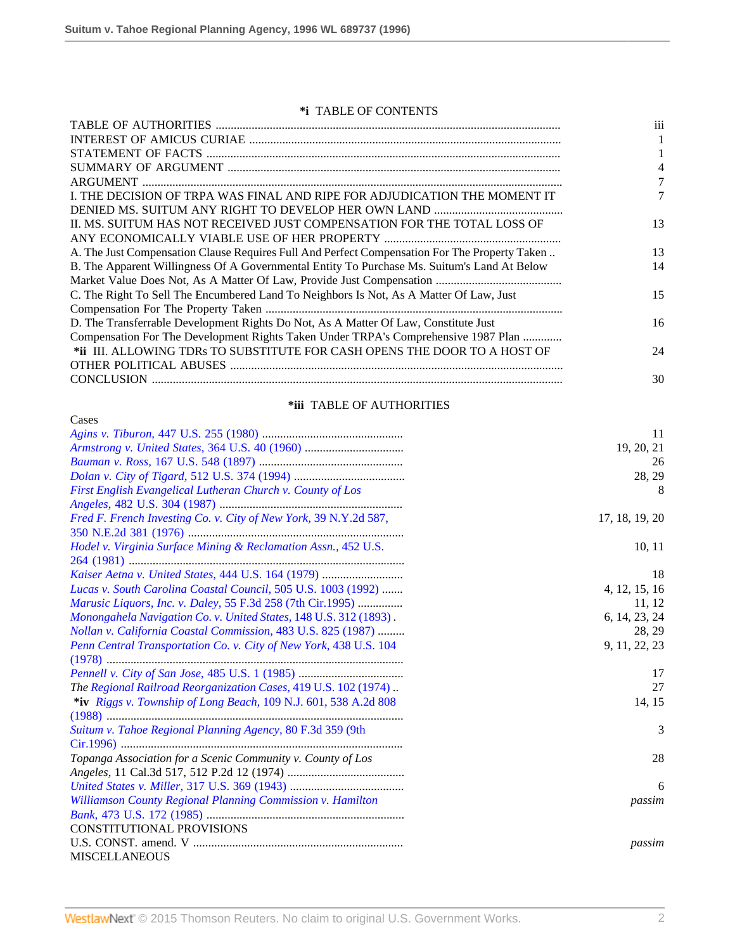### **\*i** TABLE OF CONTENTS

|                                                                                               | iii |
|-----------------------------------------------------------------------------------------------|-----|
|                                                                                               |     |
|                                                                                               |     |
|                                                                                               |     |
|                                                                                               |     |
| I. THE DECISION OF TRPA WAS FINAL AND RIPE FOR ADJUDICATION THE MOMENT IT                     |     |
|                                                                                               |     |
| II. MS. SUITUM HAS NOT RECEIVED JUST COMPENSATION FOR THE TOTAL LOSS OF                       | 13  |
|                                                                                               |     |
| A. The Just Compensation Clause Requires Full And Perfect Compensation For The Property Taken | 13  |
| B. The Apparent Willingness Of A Governmental Entity To Purchase Ms. Suitum's Land At Below   | 14  |
|                                                                                               |     |
| C. The Right To Sell The Encumbered Land To Neighbors Is Not, As A Matter Of Law, Just        | 15  |
|                                                                                               |     |
| D. The Transferrable Development Rights Do Not, As A Matter Of Law, Constitute Just           | 16  |
| Compensation For The Development Rights Taken Under TRPA's Comprehensive 1987 Plan            |     |
| *ii III. ALLOWING TDRs TO SUBSTITUTE FOR CASH OPENS THE DOOR TO A HOST OF                     | 24  |
|                                                                                               |     |
|                                                                                               | 30  |
|                                                                                               |     |

# **\*iii** TABLE OF AUTHORITIES

| Cases                                                             |                |
|-------------------------------------------------------------------|----------------|
|                                                                   | 11             |
|                                                                   | 19, 20, 21     |
|                                                                   | 26             |
|                                                                   | 28, 29         |
| First English Evangelical Lutheran Church v. County of Los        | 8              |
|                                                                   |                |
| Fred F. French Investing Co. v. City of New York, 39 N.Y.2d 587,  | 17, 18, 19, 20 |
|                                                                   |                |
| Hodel v. Virginia Surface Mining & Reclamation Assn., 452 U.S.    | 10, 11         |
|                                                                   |                |
|                                                                   | 18             |
| Lucas v. South Carolina Coastal Council, 505 U.S. 1003 (1992)     | 4, 12, 15, 16  |
| Marusic Liquors, Inc. v. Daley, 55 F.3d 258 (7th Cir.1995)        | 11, 12         |
| Monongahela Navigation Co. v. United States, 148 U.S. 312 (1893). | 6, 14, 23, 24  |
| Nollan v. California Coastal Commission, 483 U.S. 825 (1987)      | 28, 29         |
| Penn Central Transportation Co. v. City of New York, 438 U.S. 104 | 9, 11, 22, 23  |
|                                                                   |                |
|                                                                   | 17             |
| The Regional Railroad Reorganization Cases, 419 U.S. 102 (1974)   | 27             |
| *iv Riggs v. Township of Long Beach, 109 N.J. 601, 538 A.2d 808   | 14, 15         |
|                                                                   |                |
| Suitum v. Tahoe Regional Planning Agency, 80 F.3d 359 (9th        | 3              |
|                                                                   |                |
| Topanga Association for a Scenic Community v. County of Los       | 28             |
|                                                                   |                |
|                                                                   | 6              |
| Williamson County Regional Planning Commission v. Hamilton        | passim         |
|                                                                   |                |
| <b>CONSTITUTIONAL PROVISIONS</b>                                  |                |
|                                                                   | passim         |
| <b>MISCELLANEOUS</b>                                              |                |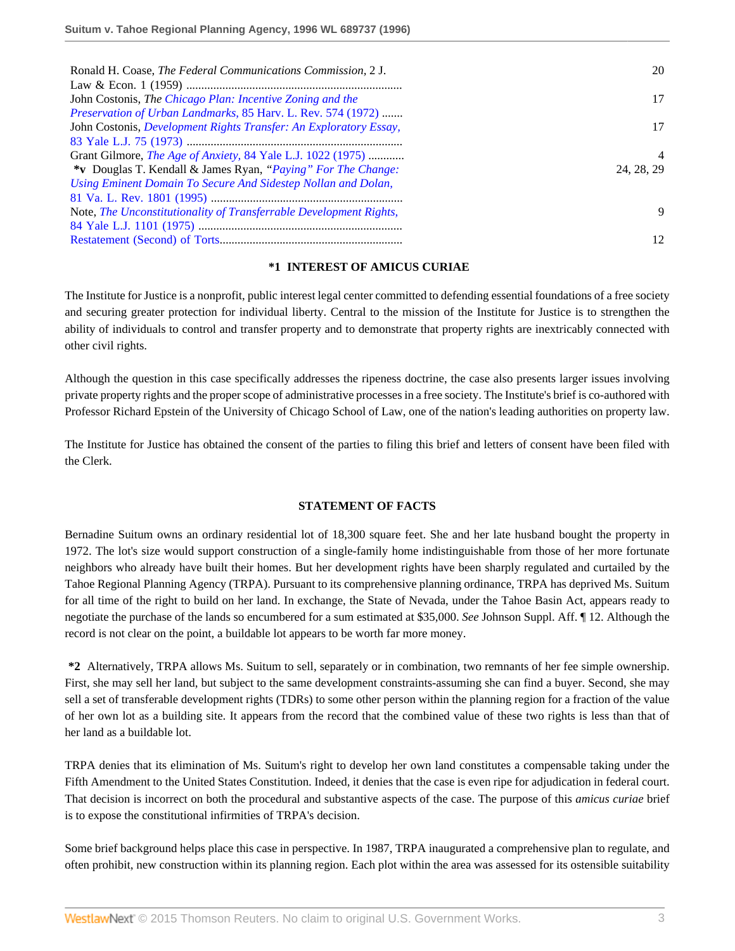| Ronald H. Coase, The Federal Communications Commission, 2 J.        | 20             |
|---------------------------------------------------------------------|----------------|
|                                                                     |                |
| John Costonis, The Chicago Plan: Incentive Zoning and the           | 17             |
| Preservation of Urban Landmarks, 85 Harv. L. Rev. 574 (1972)        |                |
| John Costonis, Development Rights Transfer: An Exploratory Essay,   | 17             |
|                                                                     |                |
| Grant Gilmore, <i>The Age of Anxiety</i> , 84 Yale L.J. 1022 (1975) | $\overline{4}$ |
| *v Douglas T. Kendall & James Ryan, "Paying" For The Change:        | 24, 28, 29     |
| Using Eminent Domain To Secure And Sidestep Nollan and Dolan,       |                |
|                                                                     |                |
| Note, The Unconstitutionality of Transferrable Development Rights,  | 9              |
|                                                                     |                |
|                                                                     | 12             |

### **\*1 INTEREST OF AMICUS CURIAE**

The Institute for Justice is a nonprofit, public interest legal center committed to defending essential foundations of a free society and securing greater protection for individual liberty. Central to the mission of the Institute for Justice is to strengthen the ability of individuals to control and transfer property and to demonstrate that property rights are inextricably connected with other civil rights.

Although the question in this case specifically addresses the ripeness doctrine, the case also presents larger issues involving private property rights and the proper scope of administrative processes in a free society. The Institute's brief is co-authored with Professor Richard Epstein of the University of Chicago School of Law, one of the nation's leading authorities on property law.

The Institute for Justice has obtained the consent of the parties to filing this brief and letters of consent have been filed with the Clerk.

### **STATEMENT OF FACTS**

Bernadine Suitum owns an ordinary residential lot of 18,300 square feet. She and her late husband bought the property in 1972. The lot's size would support construction of a single-family home indistinguishable from those of her more fortunate neighbors who already have built their homes. But her development rights have been sharply regulated and curtailed by the Tahoe Regional Planning Agency (TRPA). Pursuant to its comprehensive planning ordinance, TRPA has deprived Ms. Suitum for all time of the right to build on her land. In exchange, the State of Nevada, under the Tahoe Basin Act, appears ready to negotiate the purchase of the lands so encumbered for a sum estimated at \$35,000. *See* Johnson Suppl. Aff. ¶ 12. Although the record is not clear on the point, a buildable lot appears to be worth far more money.

**\*2** Alternatively, TRPA allows Ms. Suitum to sell, separately or in combination, two remnants of her fee simple ownership. First, she may sell her land, but subject to the same development constraints-assuming she can find a buyer. Second, she may sell a set of transferable development rights (TDRs) to some other person within the planning region for a fraction of the value of her own lot as a building site. It appears from the record that the combined value of these two rights is less than that of her land as a buildable lot.

TRPA denies that its elimination of Ms. Suitum's right to develop her own land constitutes a compensable taking under the Fifth Amendment to the United States Constitution. Indeed, it denies that the case is even ripe for adjudication in federal court. That decision is incorrect on both the procedural and substantive aspects of the case. The purpose of this *amicus curiae* brief is to expose the constitutional infirmities of TRPA's decision.

Some brief background helps place this case in perspective. In 1987, TRPA inaugurated a comprehensive plan to regulate, and often prohibit, new construction within its planning region. Each plot within the area was assessed for its ostensible suitability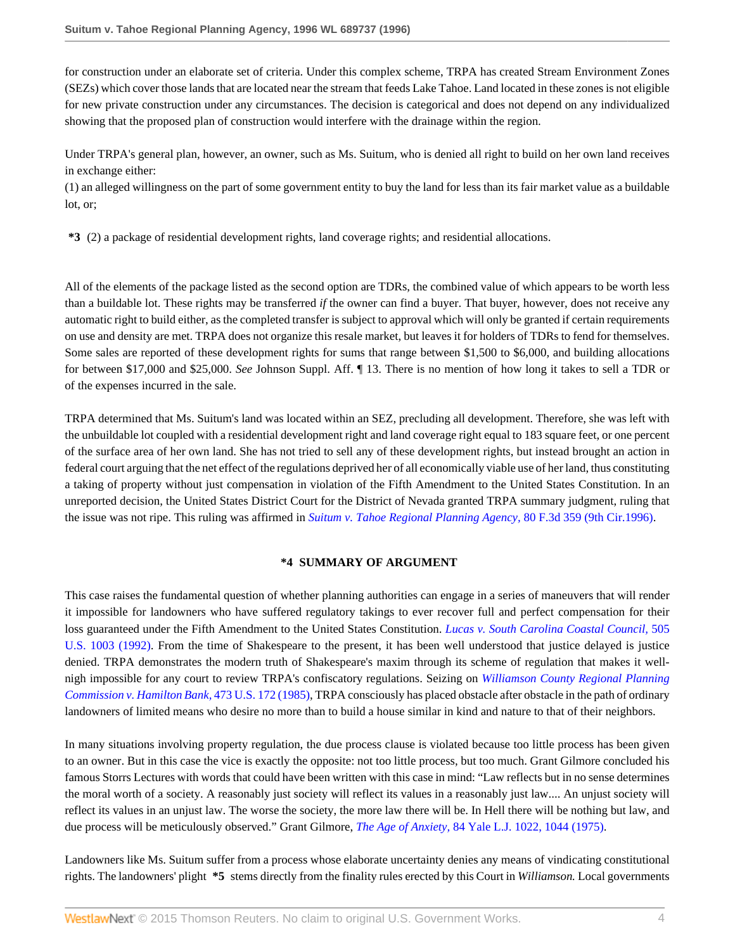for construction under an elaborate set of criteria. Under this complex scheme, TRPA has created Stream Environment Zones (SEZs) which cover those lands that are located near the stream that feeds Lake Tahoe. Land located in these zones is not eligible for new private construction under any circumstances. The decision is categorical and does not depend on any individualized showing that the proposed plan of construction would interfere with the drainage within the region.

Under TRPA's general plan, however, an owner, such as Ms. Suitum, who is denied all right to build on her own land receives in exchange either:

(1) an alleged willingness on the part of some government entity to buy the land for less than its fair market value as a buildable lot, or;

**\*3** (2) a package of residential development rights, land coverage rights; and residential allocations.

All of the elements of the package listed as the second option are TDRs, the combined value of which appears to be worth less than a buildable lot. These rights may be transferred *if* the owner can find a buyer. That buyer, however, does not receive any automatic right to build either, as the completed transfer is subject to approval which will only be granted if certain requirements on use and density are met. TRPA does not organize this resale market, but leaves it for holders of TDRs to fend for themselves. Some sales are reported of these development rights for sums that range between \$1,500 to \$6,000, and building allocations for between \$17,000 and \$25,000. *See* Johnson Suppl. Aff. ¶ 13. There is no mention of how long it takes to sell a TDR or of the expenses incurred in the sale.

TRPA determined that Ms. Suitum's land was located within an SEZ, precluding all development. Therefore, she was left with the unbuildable lot coupled with a residential development right and land coverage right equal to 183 square feet, or one percent of the surface area of her own land. She has not tried to sell any of these development rights, but instead brought an action in federal court arguing that the net effect of the regulations deprived her of all economically viable use of her land, thus constituting a taking of property without just compensation in violation of the Fifth Amendment to the United States Constitution. In an unreported decision, the United States District Court for the District of Nevada granted TRPA summary judgment, ruling that the issue was not ripe. This ruling was affirmed in *[Suitum v. Tahoe Regional Planning Agency,](http://www.westlaw.com/Link/Document/FullText?findType=Y&serNum=1996081356&pubNum=506&originatingDoc=Iac8fe4d647be11d98915dbcd77ee80bc&refType=RP&originationContext=document&vr=3.0&rs=cblt1.0&transitionType=DocumentItem&contextData=(sc.Search))* 80 F.3d 359 (9th Cir.1996).

#### **\*4 SUMMARY OF ARGUMENT**

This case raises the fundamental question of whether planning authorities can engage in a series of maneuvers that will render it impossible for landowners who have suffered regulatory takings to ever recover full and perfect compensation for their loss guaranteed under the Fifth Amendment to the United States Constitution. *[Lucas v. South Carolina Coastal Council,](http://www.westlaw.com/Link/Document/FullText?findType=Y&serNum=1992116311&pubNum=780&originatingDoc=Iac8fe4d647be11d98915dbcd77ee80bc&refType=RP&originationContext=document&vr=3.0&rs=cblt1.0&transitionType=DocumentItem&contextData=(sc.Search))* 505 [U.S. 1003 \(1992\).](http://www.westlaw.com/Link/Document/FullText?findType=Y&serNum=1992116311&pubNum=780&originatingDoc=Iac8fe4d647be11d98915dbcd77ee80bc&refType=RP&originationContext=document&vr=3.0&rs=cblt1.0&transitionType=DocumentItem&contextData=(sc.Search)) From the time of Shakespeare to the present, it has been well understood that justice delayed is justice denied. TRPA demonstrates the modern truth of Shakespeare's maxim through its scheme of regulation that makes it wellnigh impossible for any court to review TRPA's confiscatory regulations. Seizing on *[Williamson County Regional Planning](http://www.westlaw.com/Link/Document/FullText?findType=Y&serNum=1985133040&pubNum=780&originatingDoc=Iac8fe4d647be11d98915dbcd77ee80bc&refType=RP&originationContext=document&vr=3.0&rs=cblt1.0&transitionType=DocumentItem&contextData=(sc.Search)) [Commission v. Hamilton Bank,](http://www.westlaw.com/Link/Document/FullText?findType=Y&serNum=1985133040&pubNum=780&originatingDoc=Iac8fe4d647be11d98915dbcd77ee80bc&refType=RP&originationContext=document&vr=3.0&rs=cblt1.0&transitionType=DocumentItem&contextData=(sc.Search))* 473 U.S. 172 (1985), TRPA consciously has placed obstacle after obstacle in the path of ordinary landowners of limited means who desire no more than to build a house similar in kind and nature to that of their neighbors.

In many situations involving property regulation, the due process clause is violated because too little process has been given to an owner. But in this case the vice is exactly the opposite: not too little process, but too much. Grant Gilmore concluded his famous Storrs Lectures with words that could have been written with this case in mind: "Law reflects but in no sense determines the moral worth of a society. A reasonably just society will reflect its values in a reasonably just law.... An unjust society will reflect its values in an unjust law. The worse the society, the more law there will be. In Hell there will be nothing but law, and due process will be meticulously observed." Grant Gilmore, *The Age of Anxiety,* [84 Yale L.J. 1022, 1044 \(1975\)](http://www.westlaw.com/Link/Document/FullText?findType=Y&serNum=0332793815&pubNum=1292&originatingDoc=Iac8fe4d647be11d98915dbcd77ee80bc&refType=LR&fi=co_pp_sp_1292_1044&originationContext=document&vr=3.0&rs=cblt1.0&transitionType=DocumentItem&contextData=(sc.Search)#co_pp_sp_1292_1044).

Landowners like Ms. Suitum suffer from a process whose elaborate uncertainty denies any means of vindicating constitutional rights. The landowners' plight **\*5** stems directly from the finality rules erected by this Court in *Williamson.* Local governments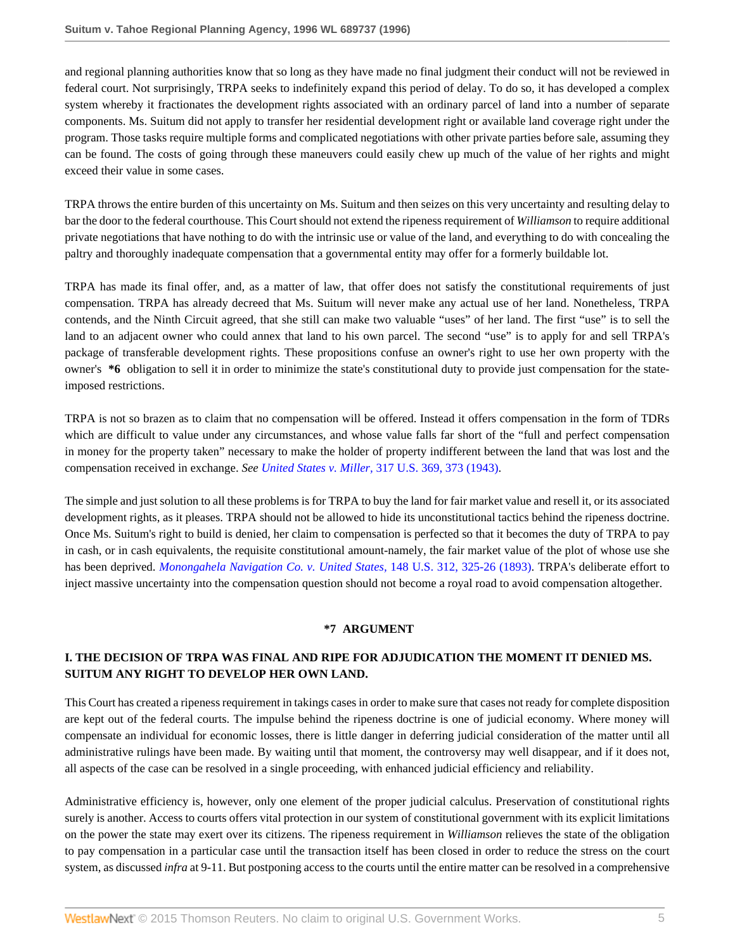and regional planning authorities know that so long as they have made no final judgment their conduct will not be reviewed in federal court. Not surprisingly, TRPA seeks to indefinitely expand this period of delay. To do so, it has developed a complex system whereby it fractionates the development rights associated with an ordinary parcel of land into a number of separate components. Ms. Suitum did not apply to transfer her residential development right or available land coverage right under the program. Those tasks require multiple forms and complicated negotiations with other private parties before sale, assuming they can be found. The costs of going through these maneuvers could easily chew up much of the value of her rights and might exceed their value in some cases.

TRPA throws the entire burden of this uncertainty on Ms. Suitum and then seizes on this very uncertainty and resulting delay to bar the door to the federal courthouse. This Court should not extend the ripeness requirement of *Williamson* to require additional private negotiations that have nothing to do with the intrinsic use or value of the land, and everything to do with concealing the paltry and thoroughly inadequate compensation that a governmental entity may offer for a formerly buildable lot.

TRPA has made its final offer, and, as a matter of law, that offer does not satisfy the constitutional requirements of just compensation. TRPA has already decreed that Ms. Suitum will never make any actual use of her land. Nonetheless, TRPA contends, and the Ninth Circuit agreed, that she still can make two valuable "uses" of her land. The first "use" is to sell the land to an adjacent owner who could annex that land to his own parcel. The second "use" is to apply for and sell TRPA's package of transferable development rights. These propositions confuse an owner's right to use her own property with the owner's **\*6** obligation to sell it in order to minimize the state's constitutional duty to provide just compensation for the stateimposed restrictions.

TRPA is not so brazen as to claim that no compensation will be offered. Instead it offers compensation in the form of TDRs which are difficult to value under any circumstances, and whose value falls far short of the "full and perfect compensation in money for the property taken" necessary to make the holder of property indifferent between the land that was lost and the compensation received in exchange. *See United States v. Miller,* [317 U.S. 369, 373 \(1943\)](http://www.westlaw.com/Link/Document/FullText?findType=Y&serNum=1943120889&pubNum=780&originatingDoc=Iac8fe4d647be11d98915dbcd77ee80bc&refType=RP&fi=co_pp_sp_780_373&originationContext=document&vr=3.0&rs=cblt1.0&transitionType=DocumentItem&contextData=(sc.Search)#co_pp_sp_780_373).

The simple and just solution to all these problems is for TRPA to buy the land for fair market value and resell it, or its associated development rights, as it pleases. TRPA should not be allowed to hide its unconstitutional tactics behind the ripeness doctrine. Once Ms. Suitum's right to build is denied, her claim to compensation is perfected so that it becomes the duty of TRPA to pay in cash, or in cash equivalents, the requisite constitutional amount-namely, the fair market value of the plot of whose use she has been deprived. *[Monongahela Navigation Co. v. United States,](http://www.westlaw.com/Link/Document/FullText?findType=Y&serNum=1893180157&pubNum=780&originatingDoc=Iac8fe4d647be11d98915dbcd77ee80bc&refType=RP&fi=co_pp_sp_780_325&originationContext=document&vr=3.0&rs=cblt1.0&transitionType=DocumentItem&contextData=(sc.Search)#co_pp_sp_780_325)* 148 U.S. 312, 325-26 (1893). TRPA's deliberate effort to inject massive uncertainty into the compensation question should not become a royal road to avoid compensation altogether.

### **\*7 ARGUMENT**

# **I. THE DECISION OF TRPA WAS FINAL AND RIPE FOR ADJUDICATION THE MOMENT IT DENIED MS. SUITUM ANY RIGHT TO DEVELOP HER OWN LAND.**

This Court has created a ripeness requirement in takings cases in order to make sure that cases not ready for complete disposition are kept out of the federal courts. The impulse behind the ripeness doctrine is one of judicial economy. Where money will compensate an individual for economic losses, there is little danger in deferring judicial consideration of the matter until all administrative rulings have been made. By waiting until that moment, the controversy may well disappear, and if it does not, all aspects of the case can be resolved in a single proceeding, with enhanced judicial efficiency and reliability.

Administrative efficiency is, however, only one element of the proper judicial calculus. Preservation of constitutional rights surely is another. Access to courts offers vital protection in our system of constitutional government with its explicit limitations on the power the state may exert over its citizens. The ripeness requirement in *Williamson* relieves the state of the obligation to pay compensation in a particular case until the transaction itself has been closed in order to reduce the stress on the court system, as discussed *infra* at 9-11. But postponing access to the courts until the entire matter can be resolved in a comprehensive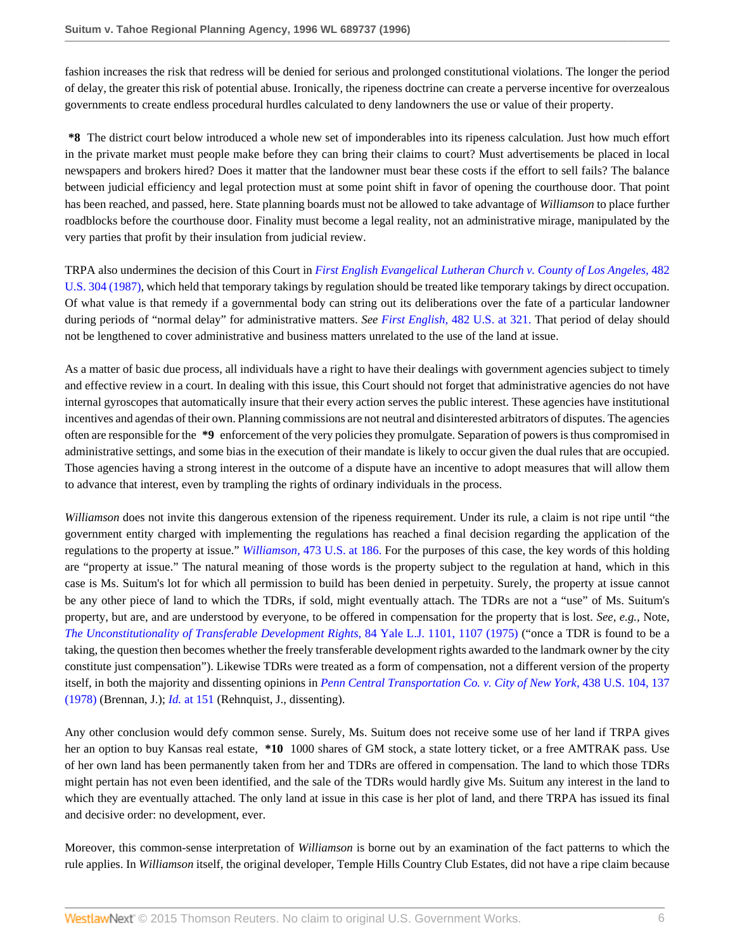fashion increases the risk that redress will be denied for serious and prolonged constitutional violations. The longer the period of delay, the greater this risk of potential abuse. Ironically, the ripeness doctrine can create a perverse incentive for overzealous governments to create endless procedural hurdles calculated to deny landowners the use or value of their property.

**\*8** The district court below introduced a whole new set of imponderables into its ripeness calculation. Just how much effort in the private market must people make before they can bring their claims to court? Must advertisements be placed in local newspapers and brokers hired? Does it matter that the landowner must bear these costs if the effort to sell fails? The balance between judicial efficiency and legal protection must at some point shift in favor of opening the courthouse door. That point has been reached, and passed, here. State planning boards must not be allowed to take advantage of *Williamson* to place further roadblocks before the courthouse door. Finality must become a legal reality, not an administrative mirage, manipulated by the very parties that profit by their insulation from judicial review.

TRPA also undermines the decision of this Court in *[First English Evangelical Lutheran Church v. County of Los Angeles,](http://www.westlaw.com/Link/Document/FullText?findType=Y&serNum=1987071659&pubNum=780&originatingDoc=Iac8fe4d647be11d98915dbcd77ee80bc&refType=RP&originationContext=document&vr=3.0&rs=cblt1.0&transitionType=DocumentItem&contextData=(sc.Search))* 482 [U.S. 304 \(1987\),](http://www.westlaw.com/Link/Document/FullText?findType=Y&serNum=1987071659&pubNum=780&originatingDoc=Iac8fe4d647be11d98915dbcd77ee80bc&refType=RP&originationContext=document&vr=3.0&rs=cblt1.0&transitionType=DocumentItem&contextData=(sc.Search)) which held that temporary takings by regulation should be treated like temporary takings by direct occupation. Of what value is that remedy if a governmental body can string out its deliberations over the fate of a particular landowner during periods of "normal delay" for administrative matters. *See First English,* [482 U.S. at 321.](http://www.westlaw.com/Link/Document/FullText?findType=Y&serNum=1987071659&pubNum=780&originatingDoc=Iac8fe4d647be11d98915dbcd77ee80bc&refType=RP&fi=co_pp_sp_780_321&originationContext=document&vr=3.0&rs=cblt1.0&transitionType=DocumentItem&contextData=(sc.Search)#co_pp_sp_780_321) That period of delay should not be lengthened to cover administrative and business matters unrelated to the use of the land at issue.

As a matter of basic due process, all individuals have a right to have their dealings with government agencies subject to timely and effective review in a court. In dealing with this issue, this Court should not forget that administrative agencies do not have internal gyroscopes that automatically insure that their every action serves the public interest. These agencies have institutional incentives and agendas of their own. Planning commissions are not neutral and disinterested arbitrators of disputes. The agencies often are responsible for the **\*9** enforcement of the very policies they promulgate. Separation of powers is thus compromised in administrative settings, and some bias in the execution of their mandate is likely to occur given the dual rules that are occupied. Those agencies having a strong interest in the outcome of a dispute have an incentive to adopt measures that will allow them to advance that interest, even by trampling the rights of ordinary individuals in the process.

*Williamson* does not invite this dangerous extension of the ripeness requirement. Under its rule, a claim is not ripe until "the government entity charged with implementing the regulations has reached a final decision regarding the application of the regulations to the property at issue." *Williamson,* [473 U.S. at 186.](http://www.westlaw.com/Link/Document/FullText?findType=Y&serNum=1985133040&pubNum=780&originatingDoc=Iac8fe4d647be11d98915dbcd77ee80bc&refType=RP&fi=co_pp_sp_780_186&originationContext=document&vr=3.0&rs=cblt1.0&transitionType=DocumentItem&contextData=(sc.Search)#co_pp_sp_780_186) For the purposes of this case, the key words of this holding are "property at issue." The natural meaning of those words is the property subject to the regulation at hand, which in this case is Ms. Suitum's lot for which all permission to build has been denied in perpetuity. Surely, the property at issue cannot be any other piece of land to which the TDRs, if sold, might eventually attach. The TDRs are not a "use" of Ms. Suitum's property, but are, and are understood by everyone, to be offered in compensation for the property that is lost. *See, e.g.,* Note, *[The Unconstitutionality of Transferable Development Rights,](http://www.westlaw.com/Link/Document/FullText?findType=Y&serNum=0332793819&pubNum=1292&originatingDoc=Iac8fe4d647be11d98915dbcd77ee80bc&refType=LR&fi=co_pp_sp_1292_1107&originationContext=document&vr=3.0&rs=cblt1.0&transitionType=DocumentItem&contextData=(sc.Search)#co_pp_sp_1292_1107)* 84 Yale L.J. 1101, 1107 (1975) ("once a TDR is found to be a taking, the question then becomes whether the freely transferable development rights awarded to the landmark owner by the city constitute just compensation"). Likewise TDRs were treated as a form of compensation, not a different version of the property itself, in both the majority and dissenting opinions in *[Penn Central Transportation Co. v. City of New York,](http://www.westlaw.com/Link/Document/FullText?findType=Y&serNum=1978139503&pubNum=780&originatingDoc=Iac8fe4d647be11d98915dbcd77ee80bc&refType=RP&fi=co_pp_sp_780_137&originationContext=document&vr=3.0&rs=cblt1.0&transitionType=DocumentItem&contextData=(sc.Search)#co_pp_sp_780_137)* 438 U.S. 104, 137 [\(1978\)](http://www.westlaw.com/Link/Document/FullText?findType=Y&serNum=1978139503&pubNum=780&originatingDoc=Iac8fe4d647be11d98915dbcd77ee80bc&refType=RP&fi=co_pp_sp_780_137&originationContext=document&vr=3.0&rs=cblt1.0&transitionType=DocumentItem&contextData=(sc.Search)#co_pp_sp_780_137) (Brennan, J.); *Id.* [at 151](http://www.westlaw.com/Link/Document/FullText?findType=Y&serNum=1978139503&originatingDoc=Iac8fe4d647be11d98915dbcd77ee80bc&refType=RP&originationContext=document&vr=3.0&rs=cblt1.0&transitionType=DocumentItem&contextData=(sc.Search)) (Rehnquist, J., dissenting).

Any other conclusion would defy common sense. Surely, Ms. Suitum does not receive some use of her land if TRPA gives her an option to buy Kansas real estate, **\*10** 1000 shares of GM stock, a state lottery ticket, or a free AMTRAK pass. Use of her own land has been permanently taken from her and TDRs are offered in compensation. The land to which those TDRs might pertain has not even been identified, and the sale of the TDRs would hardly give Ms. Suitum any interest in the land to which they are eventually attached. The only land at issue in this case is her plot of land, and there TRPA has issued its final and decisive order: no development, ever.

Moreover, this common-sense interpretation of *Williamson* is borne out by an examination of the fact patterns to which the rule applies. In *Williamson* itself, the original developer, Temple Hills Country Club Estates, did not have a ripe claim because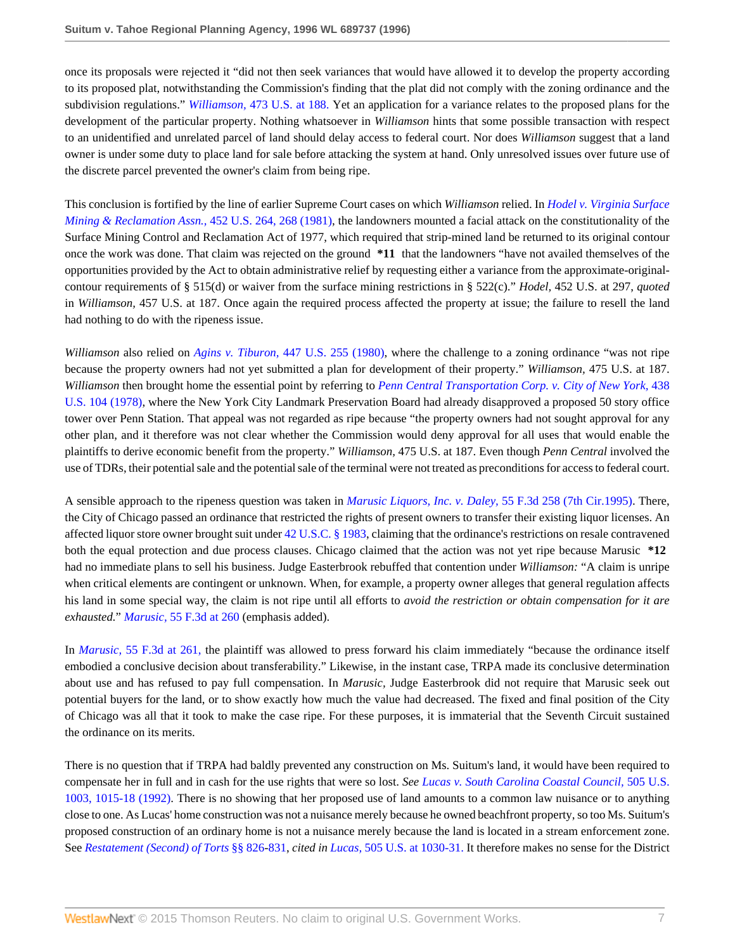once its proposals were rejected it "did not then seek variances that would have allowed it to develop the property according to its proposed plat, notwithstanding the Commission's finding that the plat did not comply with the zoning ordinance and the subdivision regulations." *Williamson,* [473 U.S. at 188.](http://www.westlaw.com/Link/Document/FullText?findType=Y&serNum=1985133040&pubNum=780&originatingDoc=Iac8fe4d647be11d98915dbcd77ee80bc&refType=RP&fi=co_pp_sp_780_188&originationContext=document&vr=3.0&rs=cblt1.0&transitionType=DocumentItem&contextData=(sc.Search)#co_pp_sp_780_188) Yet an application for a variance relates to the proposed plans for the development of the particular property. Nothing whatsoever in *Williamson* hints that some possible transaction with respect to an unidentified and unrelated parcel of land should delay access to federal court. Nor does *Williamson* suggest that a land owner is under some duty to place land for sale before attacking the system at hand. Only unresolved issues over future use of the discrete parcel prevented the owner's claim from being ripe.

This conclusion is fortified by the line of earlier Supreme Court cases on which *Williamson* relied. In *[Hodel v. Virginia Surface](http://www.westlaw.com/Link/Document/FullText?findType=Y&pubNum=780&cite=452US264&originatingDoc=Iac8fe4d647be11d98915dbcd77ee80bc&refType=RP&fi=co_pp_sp_780_268&originationContext=document&vr=3.0&rs=cblt1.0&transitionType=DocumentItem&contextData=(sc.Search)#co_pp_sp_780_268) [Mining & Reclamation Assn.,](http://www.westlaw.com/Link/Document/FullText?findType=Y&pubNum=780&cite=452US264&originatingDoc=Iac8fe4d647be11d98915dbcd77ee80bc&refType=RP&fi=co_pp_sp_780_268&originationContext=document&vr=3.0&rs=cblt1.0&transitionType=DocumentItem&contextData=(sc.Search)#co_pp_sp_780_268)* 452 U.S. 264, 268 (1981), the landowners mounted a facial attack on the constitutionality of the Surface Mining Control and Reclamation Act of 1977, which required that strip-mined land be returned to its original contour once the work was done. That claim was rejected on the ground **\*11** that the landowners "have not availed themselves of the opportunities provided by the Act to obtain administrative relief by requesting either a variance from the approximate-originalcontour requirements of § 515(d) or waiver from the surface mining restrictions in § 522(c)." *Hodel,* 452 U.S. at 297, *quoted* in *Williamson,* 457 U.S. at 187. Once again the required process affected the property at issue; the failure to resell the land had nothing to do with the ripeness issue.

*Williamson* also relied on *Agins v. Tiburon,* [447 U.S. 255 \(1980\)](http://www.westlaw.com/Link/Document/FullText?findType=Y&serNum=1980116772&pubNum=780&originatingDoc=Iac8fe4d647be11d98915dbcd77ee80bc&refType=RP&originationContext=document&vr=3.0&rs=cblt1.0&transitionType=DocumentItem&contextData=(sc.Search)), where the challenge to a zoning ordinance "was not ripe because the property owners had not yet submitted a plan for development of their property." *Williamson,* 475 U.S. at 187. *Williamson* then brought home the essential point by referring to *[Penn Central Transportation Corp. v. City of New York,](http://www.westlaw.com/Link/Document/FullText?findType=Y&serNum=1978139503&pubNum=780&originatingDoc=Iac8fe4d647be11d98915dbcd77ee80bc&refType=RP&originationContext=document&vr=3.0&rs=cblt1.0&transitionType=DocumentItem&contextData=(sc.Search))* 438 [U.S. 104 \(1978\),](http://www.westlaw.com/Link/Document/FullText?findType=Y&serNum=1978139503&pubNum=780&originatingDoc=Iac8fe4d647be11d98915dbcd77ee80bc&refType=RP&originationContext=document&vr=3.0&rs=cblt1.0&transitionType=DocumentItem&contextData=(sc.Search)) where the New York City Landmark Preservation Board had already disapproved a proposed 50 story office tower over Penn Station. That appeal was not regarded as ripe because "the property owners had not sought approval for any other plan, and it therefore was not clear whether the Commission would deny approval for all uses that would enable the plaintiffs to derive economic benefit from the property." *Williamson,* 475 U.S. at 187. Even though *Penn Central* involved the use of TDRs, their potential sale and the potential sale of the terminal were not treated as preconditions for access to federal court.

A sensible approach to the ripeness question was taken in *[Marusic Liquors, Inc. v. Daley,](http://www.westlaw.com/Link/Document/FullText?findType=Y&serNum=1995108400&pubNum=506&originatingDoc=Iac8fe4d647be11d98915dbcd77ee80bc&refType=RP&originationContext=document&vr=3.0&rs=cblt1.0&transitionType=DocumentItem&contextData=(sc.Search))* 55 F.3d 258 (7th Cir.1995). There, the City of Chicago passed an ordinance that restricted the rights of present owners to transfer their existing liquor licenses. An affected liquor store owner brought suit under [42 U.S.C. § 1983](http://www.westlaw.com/Link/Document/FullText?findType=L&pubNum=1000546&cite=42USCAS1983&originatingDoc=Iac8fe4d647be11d98915dbcd77ee80bc&refType=LQ&originationContext=document&vr=3.0&rs=cblt1.0&transitionType=DocumentItem&contextData=(sc.Search)), claiming that the ordinance's restrictions on resale contravened both the equal protection and due process clauses. Chicago claimed that the action was not yet ripe because Marusic **\*12** had no immediate plans to sell his business. Judge Easterbrook rebuffed that contention under *Williamson:* "A claim is unripe when critical elements are contingent or unknown. When, for example, a property owner alleges that general regulation affects his land in some special way, the claim is not ripe until all efforts to *avoid the restriction or obtain compensation for it are exhausted.*" *Marusic,* [55 F.3d at 260](http://www.westlaw.com/Link/Document/FullText?findType=Y&serNum=1995108400&pubNum=506&originatingDoc=Iac8fe4d647be11d98915dbcd77ee80bc&refType=RP&fi=co_pp_sp_506_260&originationContext=document&vr=3.0&rs=cblt1.0&transitionType=DocumentItem&contextData=(sc.Search)#co_pp_sp_506_260) (emphasis added).

In *Marusic,* [55 F.3d at 261,](http://www.westlaw.com/Link/Document/FullText?findType=Y&serNum=1995108400&pubNum=506&originatingDoc=Iac8fe4d647be11d98915dbcd77ee80bc&refType=RP&fi=co_pp_sp_506_261&originationContext=document&vr=3.0&rs=cblt1.0&transitionType=DocumentItem&contextData=(sc.Search)#co_pp_sp_506_261) the plaintiff was allowed to press forward his claim immediately "because the ordinance itself embodied a conclusive decision about transferability." Likewise, in the instant case, TRPA made its conclusive determination about use and has refused to pay full compensation. In *Marusic,* Judge Easterbrook did not require that Marusic seek out potential buyers for the land, or to show exactly how much the value had decreased. The fixed and final position of the City of Chicago was all that it took to make the case ripe. For these purposes, it is immaterial that the Seventh Circuit sustained the ordinance on its merits.

There is no question that if TRPA had baldly prevented any construction on Ms. Suitum's land, it would have been required to compensate her in full and in cash for the use rights that were so lost. *See [Lucas v. South Carolina Coastal Council,](http://www.westlaw.com/Link/Document/FullText?findType=Y&serNum=1992116311&pubNum=780&originatingDoc=Iac8fe4d647be11d98915dbcd77ee80bc&refType=RP&fi=co_pp_sp_780_1015&originationContext=document&vr=3.0&rs=cblt1.0&transitionType=DocumentItem&contextData=(sc.Search)#co_pp_sp_780_1015)* 505 U.S. [1003, 1015-18 \(1992\)](http://www.westlaw.com/Link/Document/FullText?findType=Y&serNum=1992116311&pubNum=780&originatingDoc=Iac8fe4d647be11d98915dbcd77ee80bc&refType=RP&fi=co_pp_sp_780_1015&originationContext=document&vr=3.0&rs=cblt1.0&transitionType=DocumentItem&contextData=(sc.Search)#co_pp_sp_780_1015). There is no showing that her proposed use of land amounts to a common law nuisance or to anything close to one. As Lucas' home construction was not a nuisance merely because he owned beachfront property, so too Ms. Suitum's proposed construction of an ordinary home is not a nuisance merely because the land is located in a stream enforcement zone. See *[Restatement \(Second\) of Torts](http://www.westlaw.com/Link/Document/FullText?findType=Y&serNum=0290694716&pubNum=0101577&originatingDoc=Iac8fe4d647be11d98915dbcd77ee80bc&refType=TS&originationContext=document&vr=3.0&rs=cblt1.0&transitionType=DocumentItem&contextData=(sc.Search))* §§ 826-[831,](http://www.westlaw.com/Link/Document/FullText?findType=Y&serNum=0290694722&pubNum=0101577&originatingDoc=Iac8fe4d647be11d98915dbcd77ee80bc&refType=TS&originationContext=document&vr=3.0&rs=cblt1.0&transitionType=DocumentItem&contextData=(sc.Search)) *cited in Lucas,* [505 U.S. at 1030-31.](http://www.westlaw.com/Link/Document/FullText?findType=Y&serNum=1992116311&pubNum=780&originatingDoc=Iac8fe4d647be11d98915dbcd77ee80bc&refType=RP&fi=co_pp_sp_780_1030&originationContext=document&vr=3.0&rs=cblt1.0&transitionType=DocumentItem&contextData=(sc.Search)#co_pp_sp_780_1030) It therefore makes no sense for the District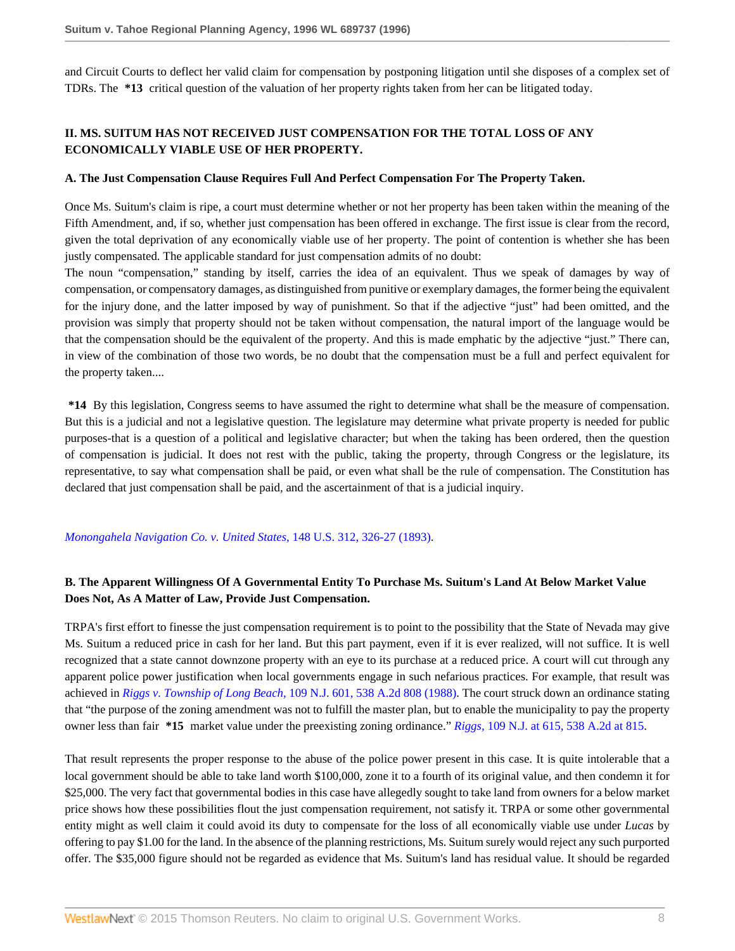and Circuit Courts to deflect her valid claim for compensation by postponing litigation until she disposes of a complex set of TDRs. The **\*13** critical question of the valuation of her property rights taken from her can be litigated today.

# **II. MS. SUITUM HAS NOT RECEIVED JUST COMPENSATION FOR THE TOTAL LOSS OF ANY ECONOMICALLY VIABLE USE OF HER PROPERTY.**

### **A. The Just Compensation Clause Requires Full And Perfect Compensation For The Property Taken.**

Once Ms. Suitum's claim is ripe, a court must determine whether or not her property has been taken within the meaning of the Fifth Amendment, and, if so, whether just compensation has been offered in exchange. The first issue is clear from the record, given the total deprivation of any economically viable use of her property. The point of contention is whether she has been justly compensated. The applicable standard for just compensation admits of no doubt:

The noun "compensation," standing by itself, carries the idea of an equivalent. Thus we speak of damages by way of compensation, or compensatory damages, as distinguished from punitive or exemplary damages, the former being the equivalent for the injury done, and the latter imposed by way of punishment. So that if the adjective "just" had been omitted, and the provision was simply that property should not be taken without compensation, the natural import of the language would be that the compensation should be the equivalent of the property. And this is made emphatic by the adjective "just." There can, in view of the combination of those two words, be no doubt that the compensation must be a full and perfect equivalent for the property taken....

**\*14** By this legislation, Congress seems to have assumed the right to determine what shall be the measure of compensation. But this is a judicial and not a legislative question. The legislature may determine what private property is needed for public purposes-that is a question of a political and legislative character; but when the taking has been ordered, then the question of compensation is judicial. It does not rest with the public, taking the property, through Congress or the legislature, its representative, to say what compensation shall be paid, or even what shall be the rule of compensation. The Constitution has declared that just compensation shall be paid, and the ascertainment of that is a judicial inquiry.

#### *[Monongahela Navigation Co. v. United States,](http://www.westlaw.com/Link/Document/FullText?findType=Y&serNum=1893180157&pubNum=780&originatingDoc=Iac8fe4d647be11d98915dbcd77ee80bc&refType=RP&fi=co_pp_sp_780_326&originationContext=document&vr=3.0&rs=cblt1.0&transitionType=DocumentItem&contextData=(sc.Search)#co_pp_sp_780_326)* 148 U.S. 312, 326-27 (1893).

### **B. The Apparent Willingness Of A Governmental Entity To Purchase Ms. Suitum's Land At Below Market Value Does Not, As A Matter of Law, Provide Just Compensation.**

TRPA's first effort to finesse the just compensation requirement is to point to the possibility that the State of Nevada may give Ms. Suitum a reduced price in cash for her land. But this part payment, even if it is ever realized, will not suffice. It is well recognized that a state cannot downzone property with an eye to its purchase at a reduced price. A court will cut through any apparent police power justification when local governments engage in such nefarious practices. For example, that result was achieved in *Riggs v. Township of Long Beach,* [109 N.J. 601, 538 A.2d 808 \(1988\)](http://www.westlaw.com/Link/Document/FullText?findType=Y&serNum=1988039616&pubNum=162&originatingDoc=Iac8fe4d647be11d98915dbcd77ee80bc&refType=RP&originationContext=document&vr=3.0&rs=cblt1.0&transitionType=DocumentItem&contextData=(sc.Search)). The court struck down an ordinance stating that "the purpose of the zoning amendment was not to fulfill the master plan, but to enable the municipality to pay the property owner less than fair **\*15** market value under the preexisting zoning ordinance." *Riggs,* [109 N.J. at 615, 538 A.2d at 815.](http://www.westlaw.com/Link/Document/FullText?findType=Y&serNum=1988039616&pubNum=162&originatingDoc=Iac8fe4d647be11d98915dbcd77ee80bc&refType=RP&fi=co_pp_sp_162_815&originationContext=document&vr=3.0&rs=cblt1.0&transitionType=DocumentItem&contextData=(sc.Search)#co_pp_sp_162_815)

That result represents the proper response to the abuse of the police power present in this case. It is quite intolerable that a local government should be able to take land worth \$100,000, zone it to a fourth of its original value, and then condemn it for \$25,000. The very fact that governmental bodies in this case have allegedly sought to take land from owners for a below market price shows how these possibilities flout the just compensation requirement, not satisfy it. TRPA or some other governmental entity might as well claim it could avoid its duty to compensate for the loss of all economically viable use under *Lucas* by offering to pay \$1.00 for the land. In the absence of the planning restrictions, Ms. Suitum surely would reject any such purported offer. The \$35,000 figure should not be regarded as evidence that Ms. Suitum's land has residual value. It should be regarded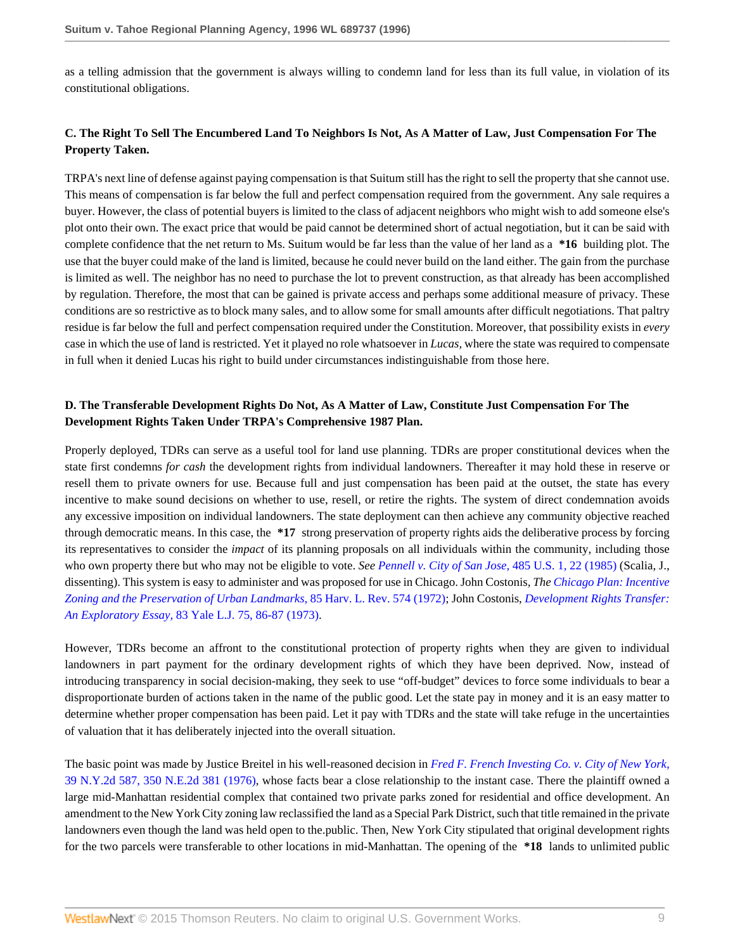as a telling admission that the government is always willing to condemn land for less than its full value, in violation of its constitutional obligations.

# **C. The Right To Sell The Encumbered Land To Neighbors Is Not, As A Matter of Law, Just Compensation For The Property Taken.**

TRPA's next line of defense against paying compensation is that Suitum still has the right to sell the property that she cannot use. This means of compensation is far below the full and perfect compensation required from the government. Any sale requires a buyer. However, the class of potential buyers is limited to the class of adjacent neighbors who might wish to add someone else's plot onto their own. The exact price that would be paid cannot be determined short of actual negotiation, but it can be said with complete confidence that the net return to Ms. Suitum would be far less than the value of her land as a **\*16** building plot. The use that the buyer could make of the land is limited, because he could never build on the land either. The gain from the purchase is limited as well. The neighbor has no need to purchase the lot to prevent construction, as that already has been accomplished by regulation. Therefore, the most that can be gained is private access and perhaps some additional measure of privacy. These conditions are so restrictive as to block many sales, and to allow some for small amounts after difficult negotiations. That paltry residue is far below the full and perfect compensation required under the Constitution. Moreover, that possibility exists in *every* case in which the use of land is restricted. Yet it played no role whatsoever in *Lucas,* where the state was required to compensate in full when it denied Lucas his right to build under circumstances indistinguishable from those here.

# **D. The Transferable Development Rights Do Not, As A Matter of Law, Constitute Just Compensation For The Development Rights Taken Under TRPA's Comprehensive 1987 Plan.**

Properly deployed, TDRs can serve as a useful tool for land use planning. TDRs are proper constitutional devices when the state first condemns *for cash* the development rights from individual landowners. Thereafter it may hold these in reserve or resell them to private owners for use. Because full and just compensation has been paid at the outset, the state has every incentive to make sound decisions on whether to use, resell, or retire the rights. The system of direct condemnation avoids any excessive imposition on individual landowners. The state deployment can then achieve any community objective reached through democratic means. In this case, the **\*17** strong preservation of property rights aids the deliberative process by forcing its representatives to consider the *impact* of its planning proposals on all individuals within the community, including those who own property there but who may not be eligible to vote. *See [Pennell v. City of San Jose,](http://www.westlaw.com/Link/Document/FullText?findType=Y&serNum=1988025710&pubNum=780&originatingDoc=Iac8fe4d647be11d98915dbcd77ee80bc&refType=RP&fi=co_pp_sp_780_22&originationContext=document&vr=3.0&rs=cblt1.0&transitionType=DocumentItem&contextData=(sc.Search)#co_pp_sp_780_22)* 485 U.S. 1, 22 (1985) (Scalia, J., dissenting). This system is easy to administer and was proposed for use in Chicago. John Costonis, *The [Chicago Plan: Incentive](http://www.westlaw.com/Link/Document/FullText?findType=Y&serNum=0110392455&pubNum=3084&originatingDoc=Iac8fe4d647be11d98915dbcd77ee80bc&refType=LR&originationContext=document&vr=3.0&rs=cblt1.0&transitionType=DocumentItem&contextData=(sc.Search)) [Zoning and the Preservation of Urban Landmarks,](http://www.westlaw.com/Link/Document/FullText?findType=Y&serNum=0110392455&pubNum=3084&originatingDoc=Iac8fe4d647be11d98915dbcd77ee80bc&refType=LR&originationContext=document&vr=3.0&rs=cblt1.0&transitionType=DocumentItem&contextData=(sc.Search))* 85 Harv. L. Rev. 574 (1972); John Costonis, *[Development Rights Transfer:](http://www.westlaw.com/Link/Document/FullText?findType=Y&serNum=0332706298&pubNum=1292&originatingDoc=Iac8fe4d647be11d98915dbcd77ee80bc&refType=LR&fi=co_pp_sp_1292_86&originationContext=document&vr=3.0&rs=cblt1.0&transitionType=DocumentItem&contextData=(sc.Search)#co_pp_sp_1292_86) An Exploratory Essay,* [83 Yale L.J. 75, 86-87 \(1973\).](http://www.westlaw.com/Link/Document/FullText?findType=Y&serNum=0332706298&pubNum=1292&originatingDoc=Iac8fe4d647be11d98915dbcd77ee80bc&refType=LR&fi=co_pp_sp_1292_86&originationContext=document&vr=3.0&rs=cblt1.0&transitionType=DocumentItem&contextData=(sc.Search)#co_pp_sp_1292_86)

However, TDRs become an affront to the constitutional protection of property rights when they are given to individual landowners in part payment for the ordinary development rights of which they have been deprived. Now, instead of introducing transparency in social decision-making, they seek to use "off-budget" devices to force some individuals to bear a disproportionate burden of actions taken in the name of the public good. Let the state pay in money and it is an easy matter to determine whether proper compensation has been paid. Let it pay with TDRs and the state will take refuge in the uncertainties of valuation that it has deliberately injected into the overall situation.

The basic point was made by Justice Breitel in his well-reasoned decision in *[Fred F. French Investing Co. v. City of New York,](http://www.westlaw.com/Link/Document/FullText?findType=Y&serNum=1976112014&pubNum=578&originatingDoc=Iac8fe4d647be11d98915dbcd77ee80bc&refType=RP&originationContext=document&vr=3.0&rs=cblt1.0&transitionType=DocumentItem&contextData=(sc.Search))* [39 N.Y.2d 587, 350 N.E.2d 381 \(1976\)](http://www.westlaw.com/Link/Document/FullText?findType=Y&serNum=1976112014&pubNum=578&originatingDoc=Iac8fe4d647be11d98915dbcd77ee80bc&refType=RP&originationContext=document&vr=3.0&rs=cblt1.0&transitionType=DocumentItem&contextData=(sc.Search)), whose facts bear a close relationship to the instant case. There the plaintiff owned a large mid-Manhattan residential complex that contained two private parks zoned for residential and office development. An amendment to the New York City zoning law reclassified the land as a Special Park District, such that title remained in the private landowners even though the land was held open to the.public. Then, New York City stipulated that original development rights for the two parcels were transferable to other locations in mid-Manhattan. The opening of the **\*18** lands to unlimited public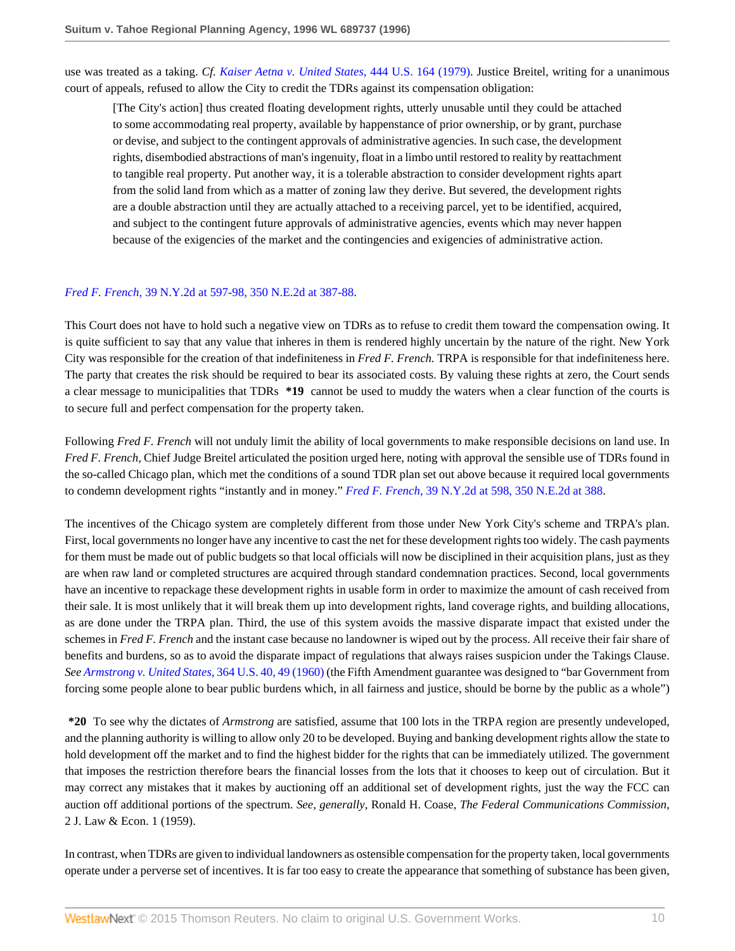use was treated as a taking. *Cf. [Kaiser Aetna v. United States,](http://www.westlaw.com/Link/Document/FullText?findType=Y&serNum=1979135196&pubNum=780&originatingDoc=Iac8fe4d647be11d98915dbcd77ee80bc&refType=RP&originationContext=document&vr=3.0&rs=cblt1.0&transitionType=DocumentItem&contextData=(sc.Search))* 444 U.S. 164 (1979). Justice Breitel, writing for a unanimous court of appeals, refused to allow the City to credit the TDRs against its compensation obligation:

[The City's action] thus created floating development rights, utterly unusable until they could be attached to some accommodating real property, available by happenstance of prior ownership, or by grant, purchase or devise, and subject to the contingent approvals of administrative agencies. In such case, the development rights, disembodied abstractions of man's ingenuity, float in a limbo until restored to reality by reattachment to tangible real property. Put another way, it is a tolerable abstraction to consider development rights apart from the solid land from which as a matter of zoning law they derive. But severed, the development rights are a double abstraction until they are actually attached to a receiving parcel, yet to be identified, acquired, and subject to the contingent future approvals of administrative agencies, events which may never happen because of the exigencies of the market and the contingencies and exigencies of administrative action.

#### *Fred F. French,* [39 N.Y.2d at 597-98, 350 N.E.2d at 387-88.](http://www.westlaw.com/Link/Document/FullText?findType=Y&serNum=1976112014&pubNum=578&originatingDoc=Iac8fe4d647be11d98915dbcd77ee80bc&refType=RP&fi=co_pp_sp_578_387&originationContext=document&vr=3.0&rs=cblt1.0&transitionType=DocumentItem&contextData=(sc.Search)#co_pp_sp_578_387)

This Court does not have to hold such a negative view on TDRs as to refuse to credit them toward the compensation owing. It is quite sufficient to say that any value that inheres in them is rendered highly uncertain by the nature of the right. New York City was responsible for the creation of that indefiniteness in *Fred F. French.* TRPA is responsible for that indefiniteness here. The party that creates the risk should be required to bear its associated costs. By valuing these rights at zero, the Court sends a clear message to municipalities that TDRs **\*19** cannot be used to muddy the waters when a clear function of the courts is to secure full and perfect compensation for the property taken.

Following *Fred F. French* will not unduly limit the ability of local governments to make responsible decisions on land use. In *Fred F. French,* Chief Judge Breitel articulated the position urged here, noting with approval the sensible use of TDRs found in the so-called Chicago plan, which met the conditions of a sound TDR plan set out above because it required local governments to condemn development rights "instantly and in money." *Fred F. French,* [39 N.Y.2d at 598, 350 N.E.2d at 388](http://www.westlaw.com/Link/Document/FullText?findType=Y&serNum=1976112014&pubNum=578&originatingDoc=Iac8fe4d647be11d98915dbcd77ee80bc&refType=RP&fi=co_pp_sp_578_388&originationContext=document&vr=3.0&rs=cblt1.0&transitionType=DocumentItem&contextData=(sc.Search)#co_pp_sp_578_388).

The incentives of the Chicago system are completely different from those under New York City's scheme and TRPA's plan. First, local governments no longer have any incentive to cast the net for these development rights too widely. The cash payments for them must be made out of public budgets so that local officials will now be disciplined in their acquisition plans, just as they are when raw land or completed structures are acquired through standard condemnation practices. Second, local governments have an incentive to repackage these development rights in usable form in order to maximize the amount of cash received from their sale. It is most unlikely that it will break them up into development rights, land coverage rights, and building allocations, as are done under the TRPA plan. Third, the use of this system avoids the massive disparate impact that existed under the schemes in *Fred F. French* and the instant case because no landowner is wiped out by the process. All receive their fair share of benefits and burdens, so as to avoid the disparate impact of regulations that always raises suspicion under the Takings Clause. *See [Armstrong v. United States,](http://www.westlaw.com/Link/Document/FullText?findType=Y&serNum=1960122571&pubNum=780&originatingDoc=Iac8fe4d647be11d98915dbcd77ee80bc&refType=RP&fi=co_pp_sp_780_49&originationContext=document&vr=3.0&rs=cblt1.0&transitionType=DocumentItem&contextData=(sc.Search)#co_pp_sp_780_49)* 364 U.S. 40, 49 (1960) (the Fifth Amendment guarantee was designed to "bar Government from forcing some people alone to bear public burdens which, in all fairness and justice, should be borne by the public as a whole")

**\*20** To see why the dictates of *Armstrong* are satisfied, assume that 100 lots in the TRPA region are presently undeveloped, and the planning authority is willing to allow only 20 to be developed. Buying and banking development rights allow the state to hold development off the market and to find the highest bidder for the rights that can be immediately utilized. The government that imposes the restriction therefore bears the financial losses from the lots that it chooses to keep out of circulation. But it may correct any mistakes that it makes by auctioning off an additional set of development rights, just the way the FCC can auction off additional portions of the spectrum. *See, generally,* Ronald H. Coase, *The Federal Communications Commission,* 2 J. Law & Econ. 1 (1959).

In contrast, when TDRs are given to individual landowners as ostensible compensation for the property taken, local governments operate under a perverse set of incentives. It is far too easy to create the appearance that something of substance has been given,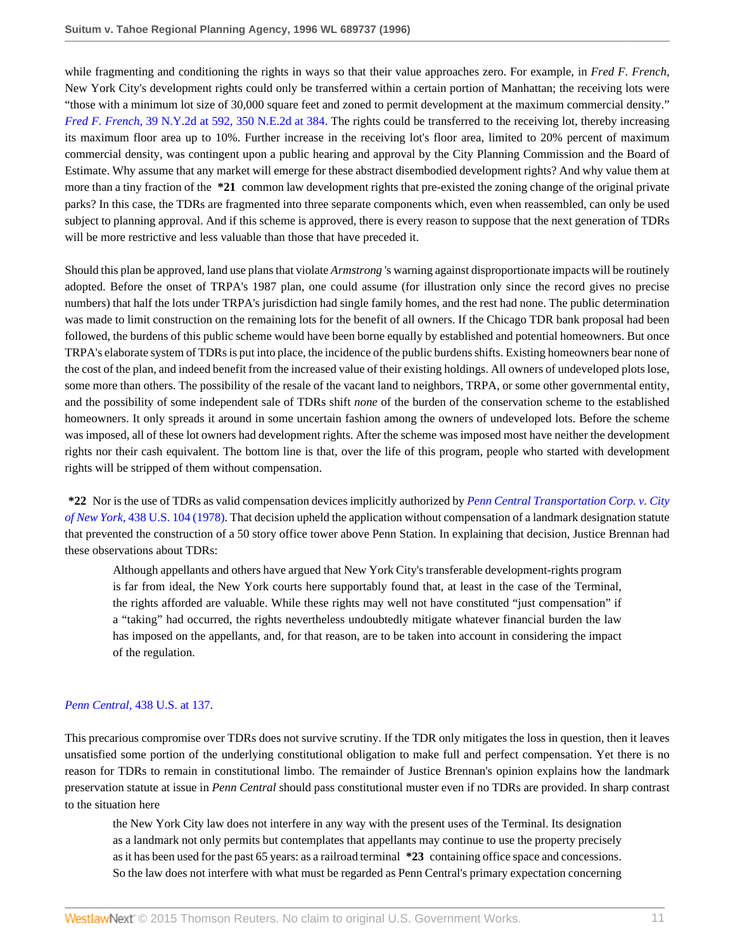while fragmenting and conditioning the rights in ways so that their value approaches zero. For example, in *Fred F. French,* New York City's development rights could only be transferred within a certain portion of Manhattan; the receiving lots were "those with a minimum lot size of 30,000 square feet and zoned to permit development at the maximum commercial density." *Fred F. French,* [39 N.Y.2d at 592, 350 N.E.2d at 384.](http://www.westlaw.com/Link/Document/FullText?findType=Y&serNum=1976112014&pubNum=578&originatingDoc=Iac8fe4d647be11d98915dbcd77ee80bc&refType=RP&fi=co_pp_sp_578_384&originationContext=document&vr=3.0&rs=cblt1.0&transitionType=DocumentItem&contextData=(sc.Search)#co_pp_sp_578_384) The rights could be transferred to the receiving lot, thereby increasing its maximum floor area up to 10%. Further increase in the receiving lot's floor area, limited to 20% percent of maximum commercial density, was contingent upon a public hearing and approval by the City Planning Commission and the Board of Estimate. Why assume that any market will emerge for these abstract disembodied development rights? And why value them at more than a tiny fraction of the **\*21** common law development rights that pre-existed the zoning change of the original private parks? In this case, the TDRs are fragmented into three separate components which, even when reassembled, can only be used subject to planning approval. And if this scheme is approved, there is every reason to suppose that the next generation of TDRs will be more restrictive and less valuable than those that have preceded it.

Should this plan be approved, land use plans that violate *Armstrong* 's warning against disproportionate impacts will be routinely adopted. Before the onset of TRPA's 1987 plan, one could assume (for illustration only since the record gives no precise numbers) that half the lots under TRPA's jurisdiction had single family homes, and the rest had none. The public determination was made to limit construction on the remaining lots for the benefit of all owners. If the Chicago TDR bank proposal had been followed, the burdens of this public scheme would have been borne equally by established and potential homeowners. But once TRPA's elaborate system of TDRs is put into place, the incidence of the public burdens shifts. Existing homeowners bear none of the cost of the plan, and indeed benefit from the increased value of their existing holdings. All owners of undeveloped plots lose, some more than others. The possibility of the resale of the vacant land to neighbors, TRPA, or some other governmental entity, and the possibility of some independent sale of TDRs shift *none* of the burden of the conservation scheme to the established homeowners. It only spreads it around in some uncertain fashion among the owners of undeveloped lots. Before the scheme was imposed, all of these lot owners had development rights. After the scheme was imposed most have neither the development rights nor their cash equivalent. The bottom line is that, over the life of this program, people who started with development rights will be stripped of them without compensation.

**\*22** Nor is the use of TDRs as valid compensation devices implicitly authorized by *[Penn Central Transportation Corp. v. City](http://www.westlaw.com/Link/Document/FullText?findType=Y&serNum=1978139503&pubNum=780&originatingDoc=Iac8fe4d647be11d98915dbcd77ee80bc&refType=RP&originationContext=document&vr=3.0&rs=cblt1.0&transitionType=DocumentItem&contextData=(sc.Search)) of New York,* [438 U.S. 104 \(1978\)](http://www.westlaw.com/Link/Document/FullText?findType=Y&serNum=1978139503&pubNum=780&originatingDoc=Iac8fe4d647be11d98915dbcd77ee80bc&refType=RP&originationContext=document&vr=3.0&rs=cblt1.0&transitionType=DocumentItem&contextData=(sc.Search)). That decision upheld the application without compensation of a landmark designation statute that prevented the construction of a 50 story office tower above Penn Station. In explaining that decision, Justice Brennan had these observations about TDRs:

Although appellants and others have argued that New York City's transferable development-rights program is far from ideal, the New York courts here supportably found that, at least in the case of the Terminal, the rights afforded are valuable. While these rights may well not have constituted "just compensation" if a "taking" had occurred, the rights nevertheless undoubtedly mitigate whatever financial burden the law has imposed on the appellants, and, for that reason, are to be taken into account in considering the impact of the regulation.

#### *Penn Central,* [438 U.S. at 137](http://www.westlaw.com/Link/Document/FullText?findType=Y&serNum=1978139503&pubNum=780&originatingDoc=Iac8fe4d647be11d98915dbcd77ee80bc&refType=RP&fi=co_pp_sp_780_137&originationContext=document&vr=3.0&rs=cblt1.0&transitionType=DocumentItem&contextData=(sc.Search)#co_pp_sp_780_137).

This precarious compromise over TDRs does not survive scrutiny. If the TDR only mitigates the loss in question, then it leaves unsatisfied some portion of the underlying constitutional obligation to make full and perfect compensation. Yet there is no reason for TDRs to remain in constitutional limbo. The remainder of Justice Brennan's opinion explains how the landmark preservation statute at issue in *Penn Central* should pass constitutional muster even if no TDRs are provided. In sharp contrast to the situation here

the New York City law does not interfere in any way with the present uses of the Terminal. Its designation as a landmark not only permits but contemplates that appellants may continue to use the property precisely as it has been used for the past 65 years: as a railroad terminal **\*23** containing office space and concessions. So the law does not interfere with what must be regarded as Penn Central's primary expectation concerning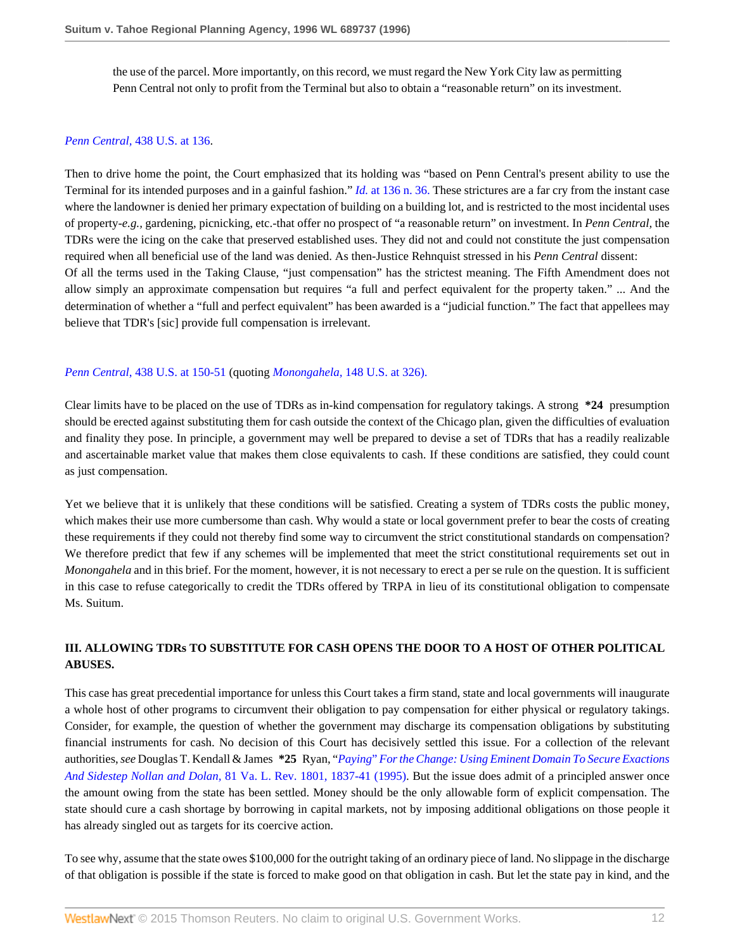the use of the parcel. More importantly, on this record, we must regard the New York City law as permitting Penn Central not only to profit from the Terminal but also to obtain a "reasonable return" on its investment.

### *Penn Central,* [438 U.S. at 136](http://www.westlaw.com/Link/Document/FullText?findType=Y&serNum=1978139503&pubNum=780&originatingDoc=Iac8fe4d647be11d98915dbcd77ee80bc&refType=RP&fi=co_pp_sp_780_136&originationContext=document&vr=3.0&rs=cblt1.0&transitionType=DocumentItem&contextData=(sc.Search)#co_pp_sp_780_136).

Then to drive home the point, the Court emphasized that its holding was "based on Penn Central's present ability to use the Terminal for its intended purposes and in a gainful fashion." *Id.* [at 136 n. 36.](http://www.westlaw.com/Link/Document/FullText?findType=Y&serNum=1978139503&originatingDoc=Iac8fe4d647be11d98915dbcd77ee80bc&refType=RP&originationContext=document&vr=3.0&rs=cblt1.0&transitionType=DocumentItem&contextData=(sc.Search)) These strictures are a far cry from the instant case where the landowner is denied her primary expectation of building on a building lot, and is restricted to the most incidental uses of property-*e.g.,* gardening, picnicking, etc.-that offer no prospect of "a reasonable return" on investment. In *Penn Central,* the TDRs were the icing on the cake that preserved established uses. They did not and could not constitute the just compensation required when all beneficial use of the land was denied. As then-Justice Rehnquist stressed in his *Penn Central* dissent: Of all the terms used in the Taking Clause, "just compensation" has the strictest meaning. The Fifth Amendment does not allow simply an approximate compensation but requires "a full and perfect equivalent for the property taken." ... And the determination of whether a "full and perfect equivalent" has been awarded is a "judicial function." The fact that appellees may believe that TDR's [sic] provide full compensation is irrelevant.

#### *Penn Central*[, 438 U.S. at 150-51](http://www.westlaw.com/Link/Document/FullText?findType=Y&serNum=1978139503&pubNum=780&originatingDoc=Iac8fe4d647be11d98915dbcd77ee80bc&refType=RP&fi=co_pp_sp_780_150&originationContext=document&vr=3.0&rs=cblt1.0&transitionType=DocumentItem&contextData=(sc.Search)#co_pp_sp_780_150) (quoting *Monongahela,* [148 U.S. at 326\).](http://www.westlaw.com/Link/Document/FullText?findType=Y&serNum=1893180157&pubNum=780&originatingDoc=Iac8fe4d647be11d98915dbcd77ee80bc&refType=RP&fi=co_pp_sp_780_326&originationContext=document&vr=3.0&rs=cblt1.0&transitionType=DocumentItem&contextData=(sc.Search)#co_pp_sp_780_326)

Clear limits have to be placed on the use of TDRs as in-kind compensation for regulatory takings. A strong **\*24** presumption should be erected against substituting them for cash outside the context of the Chicago plan, given the difficulties of evaluation and finality they pose. In principle, a government may well be prepared to devise a set of TDRs that has a readily realizable and ascertainable market value that makes them close equivalents to cash. If these conditions are satisfied, they could count as just compensation.

Yet we believe that it is unlikely that these conditions will be satisfied. Creating a system of TDRs costs the public money, which makes their use more cumbersome than cash. Why would a state or local government prefer to bear the costs of creating these requirements if they could not thereby find some way to circumvent the strict constitutional standards on compensation? We therefore predict that few if any schemes will be implemented that meet the strict constitutional requirements set out in *Monongahela* and in this brief. For the moment, however, it is not necessary to erect a per se rule on the question. It is sufficient in this case to refuse categorically to credit the TDRs offered by TRPA in lieu of its constitutional obligation to compensate Ms. Suitum.

### **III. ALLOWING TDRs TO SUBSTITUTE FOR CASH OPENS THE DOOR TO A HOST OF OTHER POLITICAL ABUSES.**

This case has great precedential importance for unless this Court takes a firm stand, state and local governments will inaugurate a whole host of other programs to circumvent their obligation to pay compensation for either physical or regulatory takings. Consider, for example, the question of whether the government may discharge its compensation obligations by substituting financial instruments for cash. No decision of this Court has decisively settled this issue. For a collection of the relevant authorities, *see* Douglas T. Kendall & James **\*25** Ryan, "*Paying*" *[For the Change: Using Eminent Domain To Secure Exactions](http://www.westlaw.com/Link/Document/FullText?findType=Y&serNum=0105882260&pubNum=1359&originatingDoc=Iac8fe4d647be11d98915dbcd77ee80bc&refType=LR&fi=co_pp_sp_1359_1837&originationContext=document&vr=3.0&rs=cblt1.0&transitionType=DocumentItem&contextData=(sc.Search)#co_pp_sp_1359_1837) And Sidestep Nollan and Dolan,* [81 Va. L. Rev. 1801, 1837-41 \(1995\).](http://www.westlaw.com/Link/Document/FullText?findType=Y&serNum=0105882260&pubNum=1359&originatingDoc=Iac8fe4d647be11d98915dbcd77ee80bc&refType=LR&fi=co_pp_sp_1359_1837&originationContext=document&vr=3.0&rs=cblt1.0&transitionType=DocumentItem&contextData=(sc.Search)#co_pp_sp_1359_1837) But the issue does admit of a principled answer once the amount owing from the state has been settled. Money should be the only allowable form of explicit compensation. The state should cure a cash shortage by borrowing in capital markets, not by imposing additional obligations on those people it has already singled out as targets for its coercive action.

To see why, assume that the state owes \$100,000 for the outright taking of an ordinary piece of land. No slippage in the discharge of that obligation is possible if the state is forced to make good on that obligation in cash. But let the state pay in kind, and the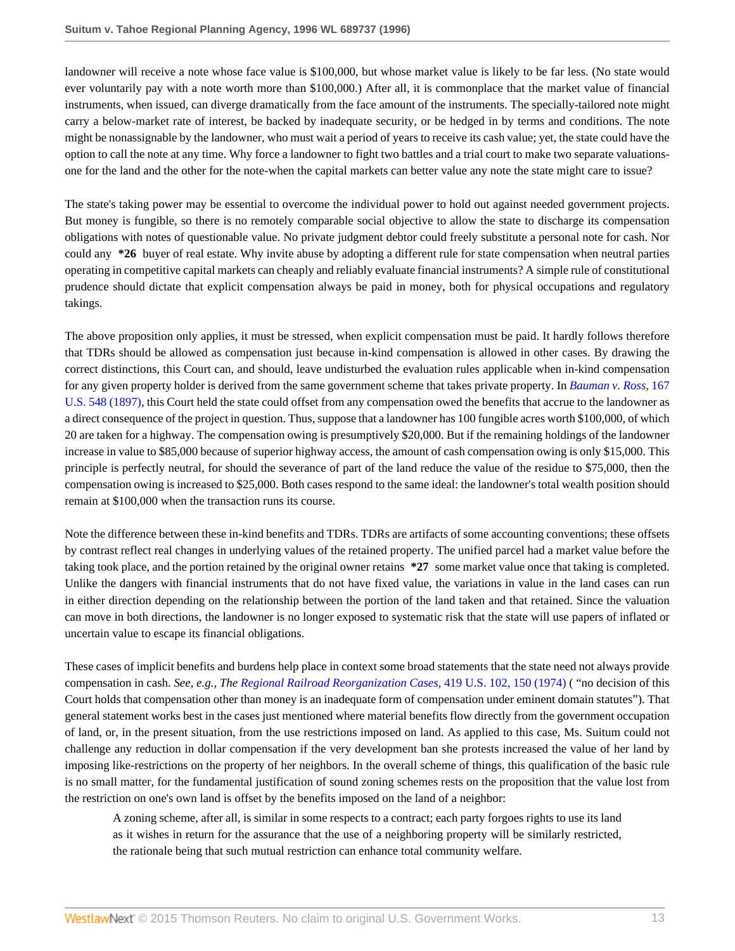landowner will receive a note whose face value is \$100,000, but whose market value is likely to be far less. (No state would ever voluntarily pay with a note worth more than \$100,000.) After all, it is commonplace that the market value of financial instruments, when issued, can diverge dramatically from the face amount of the instruments. The specially-tailored note might carry a below-market rate of interest, be backed by inadequate security, or be hedged in by terms and conditions. The note might be nonassignable by the landowner, who must wait a period of years to receive its cash value; yet, the state could have the option to call the note at any time. Why force a landowner to fight two battles and a trial court to make two separate valuationsone for the land and the other for the note-when the capital markets can better value any note the state might care to issue?

The state's taking power may be essential to overcome the individual power to hold out against needed government projects. But money is fungible, so there is no remotely comparable social objective to allow the state to discharge its compensation obligations with notes of questionable value. No private judgment debtor could freely substitute a personal note for cash. Nor could any **\*26** buyer of real estate. Why invite abuse by adopting a different rule for state compensation when neutral parties operating in competitive capital markets can cheaply and reliably evaluate financial instruments? A simple rule of constitutional prudence should dictate that explicit compensation always be paid in money, both for physical occupations and regulatory takings.

The above proposition only applies, it must be stressed, when explicit compensation must be paid. It hardly follows therefore that TDRs should be allowed as compensation just because in-kind compensation is allowed in other cases. By drawing the correct distinctions, this Court can, and should, leave undisturbed the evaluation rules applicable when in-kind compensation for any given property holder is derived from the same government scheme that takes private property. In *[Bauman v. Ross,](http://www.westlaw.com/Link/Document/FullText?findType=Y&serNum=1897180110&pubNum=780&originatingDoc=Iac8fe4d647be11d98915dbcd77ee80bc&refType=RP&originationContext=document&vr=3.0&rs=cblt1.0&transitionType=DocumentItem&contextData=(sc.Search))* 167 [U.S. 548 \(1897\),](http://www.westlaw.com/Link/Document/FullText?findType=Y&serNum=1897180110&pubNum=780&originatingDoc=Iac8fe4d647be11d98915dbcd77ee80bc&refType=RP&originationContext=document&vr=3.0&rs=cblt1.0&transitionType=DocumentItem&contextData=(sc.Search)) this Court held the state could offset from any compensation owed the benefits that accrue to the landowner as a direct consequence of the project in question. Thus, suppose that a landowner has 100 fungible acres worth \$100,000, of which 20 are taken for a highway. The compensation owing is presumptively \$20,000. But if the remaining holdings of the landowner increase in value to \$85,000 because of superior highway access, the amount of cash compensation owing is only \$15,000. This principle is perfectly neutral, for should the severance of part of the land reduce the value of the residue to \$75,000, then the compensation owing is increased to \$25,000. Both cases respond to the same ideal: the landowner's total wealth position should remain at \$100,000 when the transaction runs its course.

Note the difference between these in-kind benefits and TDRs. TDRs are artifacts of some accounting conventions; these offsets by contrast reflect real changes in underlying values of the retained property. The unified parcel had a market value before the taking took place, and the portion retained by the original owner retains **\*27** some market value once that taking is completed. Unlike the dangers with financial instruments that do not have fixed value, the variations in value in the land cases can run in either direction depending on the relationship between the portion of the land taken and that retained. Since the valuation can move in both directions, the landowner is no longer exposed to systematic risk that the state will use papers of inflated or uncertain value to escape its financial obligations.

These cases of implicit benefits and burdens help place in context some broad statements that the state need not always provide compensation in cash. *See, e.g., The [Regional Railroad Reorganization Cases,](http://www.westlaw.com/Link/Document/FullText?findType=Y&serNum=1974138446&pubNum=780&originatingDoc=Iac8fe4d647be11d98915dbcd77ee80bc&refType=RP&fi=co_pp_sp_780_150&originationContext=document&vr=3.0&rs=cblt1.0&transitionType=DocumentItem&contextData=(sc.Search)#co_pp_sp_780_150)* 419 U.S. 102, 150 (1974) ( "no decision of this Court holds that compensation other than money is an inadequate form of compensation under eminent domain statutes"). That general statement works best in the cases just mentioned where material benefits flow directly from the government occupation of land, or, in the present situation, from the use restrictions imposed on land. As applied to this case, Ms. Suitum could not challenge any reduction in dollar compensation if the very development ban she protests increased the value of her land by imposing like-restrictions on the property of her neighbors. In the overall scheme of things, this qualification of the basic rule is no small matter, for the fundamental justification of sound zoning schemes rests on the proposition that the value lost from the restriction on one's own land is offset by the benefits imposed on the land of a neighbor:

A zoning scheme, after all, is similar in some respects to a contract; each party forgoes rights to use its land as it wishes in return for the assurance that the use of a neighboring property will be similarly restricted, the rationale being that such mutual restriction can enhance total community welfare.